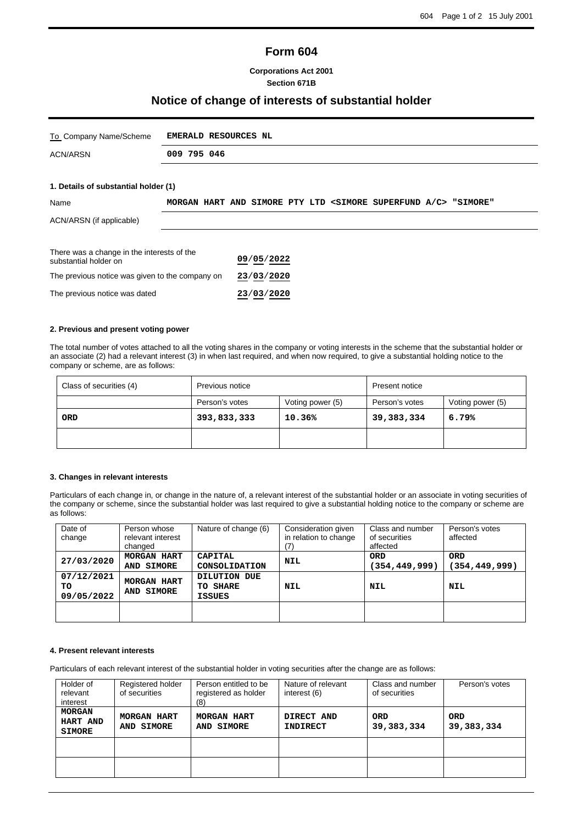# **Form 604**

### **Corporations Act 2001 Section 671B**

## **Notice of change of interests of substantial holder**

| To Company Name/Scheme                                              | EMERALD RESOURCES NL |  |  |            |  |  |                                                                                  |  |  |
|---------------------------------------------------------------------|----------------------|--|--|------------|--|--|----------------------------------------------------------------------------------|--|--|
| ACN/ARSN                                                            | 009 795 046          |  |  |            |  |  |                                                                                  |  |  |
|                                                                     |                      |  |  |            |  |  |                                                                                  |  |  |
| 1. Details of substantial holder (1)                                |                      |  |  |            |  |  |                                                                                  |  |  |
| Name                                                                |                      |  |  |            |  |  | MORGAN HART AND SIMORE PTY LTD <simore a="" c="" superfund=""> "SIMORE"</simore> |  |  |
| ACN/ARSN (if applicable)                                            |                      |  |  |            |  |  |                                                                                  |  |  |
|                                                                     |                      |  |  |            |  |  |                                                                                  |  |  |
| There was a change in the interests of the<br>substantial holder on |                      |  |  | 09/05/2022 |  |  |                                                                                  |  |  |
| The previous notice was given to the company on                     |                      |  |  | 23/03/2020 |  |  |                                                                                  |  |  |
| The previous notice was dated                                       |                      |  |  | 23/03/2020 |  |  |                                                                                  |  |  |

#### **2. Previous and present voting power**

The total number of votes attached to all the voting shares in the company or voting interests in the scheme that the substantial holder or an associate (2) had a relevant interest (3) in when last required, and when now required, to give a substantial holding notice to the company or scheme, are as follows:

| Class of securities (4) | Previous notice |                  | Present notice |                  |  |
|-------------------------|-----------------|------------------|----------------|------------------|--|
|                         | Person's votes  | Voting power (5) | Person's votes | Voting power (5) |  |
| ORD                     | 393,833,333     | 10.36%           | 39,383,334     | 6.79%            |  |
|                         |                 |                  |                |                  |  |

#### **3. Changes in relevant interests**

Particulars of each change in, or change in the nature of, a relevant interest of the substantial holder or an associate in voting securities of the company or scheme, since the substantial holder was last required to give a substantial holding notice to the company or scheme are as follows:

| Date of<br>change               | Person whose<br>relevant interest<br>changed | Nature of change (6)                      | Consideration given<br>in relation to change<br>(7) | Class and number<br>of securities<br>affected | Person's votes<br>affected    |
|---------------------------------|----------------------------------------------|-------------------------------------------|-----------------------------------------------------|-----------------------------------------------|-------------------------------|
| 27/03/2020                      | MORGAN HART<br>AND SIMORE                    | <b>CAPITAL</b><br>CONSOLIDATION           | NIL                                                 | <b>ORD</b><br>(354,449,999)                   | <b>ORD</b><br>(354, 449, 999) |
| 07/12/2021<br>TO.<br>09/05/2022 | MORGAN HART<br>AND SIMORE                    | DILUTION DUE<br>TO SHARE<br><b>ISSUES</b> | NIL                                                 | NIL                                           | NIL                           |
|                                 |                                              |                                           |                                                     |                                               |                               |

#### **4. Present relevant interests**

Particulars of each relevant interest of the substantial holder in voting securities after the change are as follows:

| Holder of<br>relevant<br>interest          | Registered holder<br>of securities | Person entitled to be<br>registered as holder<br>(8) | Nature of relevant<br>interest (6) | Class and number<br>of securities | Person's votes           |
|--------------------------------------------|------------------------------------|------------------------------------------------------|------------------------------------|-----------------------------------|--------------------------|
| <b>MORGAN</b><br>HART AND<br><b>SIMORE</b> | <b>MORGAN HART</b><br>AND SIMORE   | MORGAN HART<br>AND SIMORE                            | DIRECT AND<br><b>INDIRECT</b>      | <b>ORD</b><br>39, 383, 334        | <b>ORD</b><br>39,383,334 |
|                                            |                                    |                                                      |                                    |                                   |                          |
|                                            |                                    |                                                      |                                    |                                   |                          |